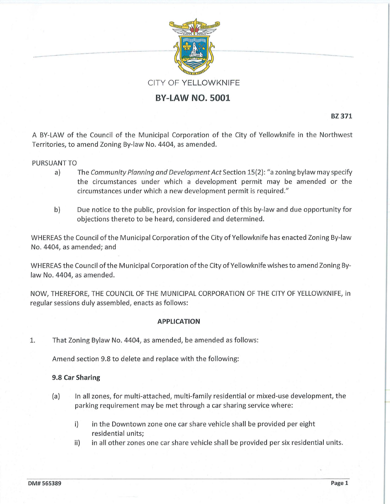

# **BY-LAW NO. 5001**

**BZ 371** 

A BY-LAW of the Council of the Municipal Corporation of the City of Yellowknife in the Northwest Territories, to amend Zoning By-law No. 4404, as amended.

### PURSUANT TO

- a) The *Community Planning and Development Act* Section 15{2): "a zoning bylaw may specify the circumstances under which a development permit may be amended or the circumstances under which a new development permit is required."
- b) Due notice to the public, provision for inspection of this by-law and due opportunity for objections thereto to be heard, considered and determined.

WHEREAS the Council of the Municipal Corporation of the City of Yellowknife has enacted Zoning By-law No. 4404, as amended; and

WHEREAS the Council of the Municipal Corporation of the City of Yellowknife wishes to amend Zoning Bylaw No. 4404, as amended.

NOW, THEREFORE, THE COUNCIL OF THE MUNICIPAL CORPORATION OF THE CITY OF YELLOWKNIFE, in regular sessions duly assembled, enacts as follows:

### **APPLICATION**

1. That Zoning Bylaw No. 4404, as amended, be amended as follows:

Amend section 9.8 to delete and replace with the following:

### **9.8 Car Sharing**

- (a) In all zones, for multi-attached, multi-family residential or mixed-use development, the parking requirement may be met through a car sharing service where:
	- i) in the Downtown zone one car share vehicle shall be provided per eight residential units;
	- ii) in all other zones one car share vehicle shall be provided per six residential units.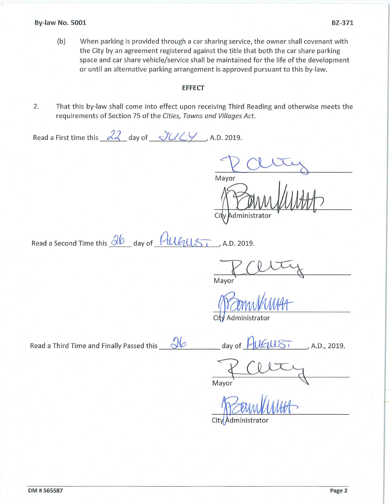(b) When parking is provided through a car sharing service, the owner shall covenant with the City by an agreement registered against the title that both the car share parking space and car share vehicle/service shall be maintained for the life of the development or until an alternative parking arrangement is approved pursuant to this by-law.

## **EFFECT**

2. That this by-law shall come into effect upon receiving Third Reading and otherwise meets the requirements of Section 75 of the *Cities, Towns and Villages Act.* 

Read a First time this  $\sqrt{2}$  day of  $\sqrt{2}$  /

Mayor City dministrator

Read a Second Time this  $\frac{\partial \phi}{\partial x}$  day of  $\frac{\partial \psi}{\partial y}$  A.D. 2019.

Mayor

Administrator

Read a Third Time and Finally Passed this  $\sqrt{\frac{q_0}{p_1}}$  day of  $\frac{p_0}{p_1}$  and  $\frac{p_1}{p_2}$ , A.D., 2019.

 $\frac{1}{\sqrt{4}}$  Client A.D.,

City Administrator